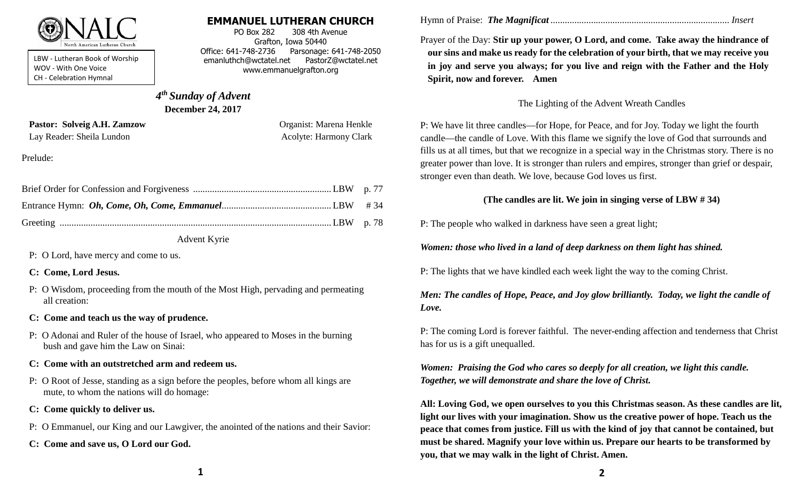

LBW - Lutheran Book of Worship WOV - With One Voice CH - Celebration Hymnal

### **EMMANUEL LUTHERAN CHURCH**

PO Box 282 308 4th Avenue Grafton, Iowa 50440 Office: 641-748-2736 Parsonage: 641-748-2050 emanluthch@wctatel.net PastorZ@wctatel.net www.emmanuelgrafton.org

# *4 th Sunday of Advent* **December 24, 2017**

Pastor: Solveig A.H. Zamzow **Organist: Marena Henkle** Lay Reader: Sheila Lundon **Acolyte: Harmony Clark** Acolyte: Harmony Clark

Prelude:

#### Advent Kyrie

P: O Lord, have mercy and come to us.

#### **C: Come, Lord Jesus.**

P: O Wisdom, proceeding from the mouth of the Most High, pervading and permeating all creation:

### **C: Come and teach us the way of prudence.**

P: O Adonai and Ruler of the house of Israel, who appeared to Moses in the burning bush and gave him the Law on Sinai:

### **C: Come with an outstretched arm and redeem us.**

- P: O Root of Jesse, standing as a sign before the peoples, before whom all kings are mute, to whom the nations will do homage:
- **C: Come quickly to deliver us.**
- P: O Emmanuel, our King and our Lawgiver, the anointed of the nations and their Savior:
- **C: Come and save us, O Lord our God.**

Hymn of Praise: *The Magnificat ........................................................................... Insert*

Prayer of the Day: **Stir up your power, O Lord, and come. Take away the hindrance of our sins and make us ready for the celebration of your birth, that we may receive you in joy and serve you always; for you live and reign with the Father and the Holy Spirit, now and forever. Amen**

## The Lighting of the Advent Wreath Candles

P: We have lit three candles—for Hope, for Peace, and for Joy. Today we light the fourth candle—the candle of Love. With this flame we signify the love of God that surrounds and fills us at all times, but that we recognize in a special way in the Christmas story. There is no greater power than love. It is stronger than rulers and empires, stronger than grief or despair, stronger even than death. We love, because God loves us first.

# **(The candles are lit. We join in singing verse of LBW # 34)**

P: The people who walked in darkness have seen a great light;

*Women: those who lived in a land of deep darkness on them light has shined.*

P: The lights that we have kindled each week light the way to the coming Christ.

# *Men: The candles of Hope, Peace, and Joy glow brilliantly. Today, we light the candle of Love.*

P: The coming Lord is forever faithful. The never-ending affection and tenderness that Christ has for us is a gift unequalled.

*Women: Praising the God who cares so deeply for all creation, we light this candle. Together, we will demonstrate and share the love of Christ.*

**All: Loving God, we open ourselves to you this Christmas season. As these candles are lit, light our lives with your imagination. Show us the creative power of hope. Teach us the peace that comes from justice. Fill us with the kind of joy that cannot be contained, but must be shared. Magnify your love within us. Prepare our hearts to be transformed by you, that we may walk in the light of Christ. Amen.**